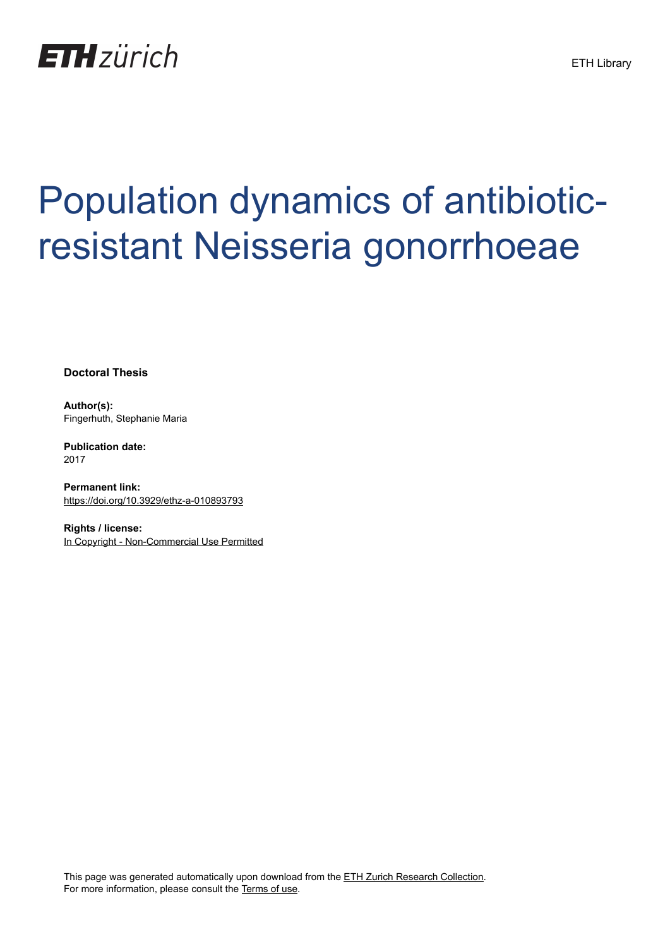

# Population dynamics of antibioticresistant Neisseria gonorrhoeae

**Doctoral Thesis**

**Author(s):** Fingerhuth, Stephanie Maria

**Publication date:** 2017

**Permanent link:** <https://doi.org/10.3929/ethz-a-010893793>

**Rights / license:** [In Copyright - Non-Commercial Use Permitted](http://rightsstatements.org/page/InC-NC/1.0/)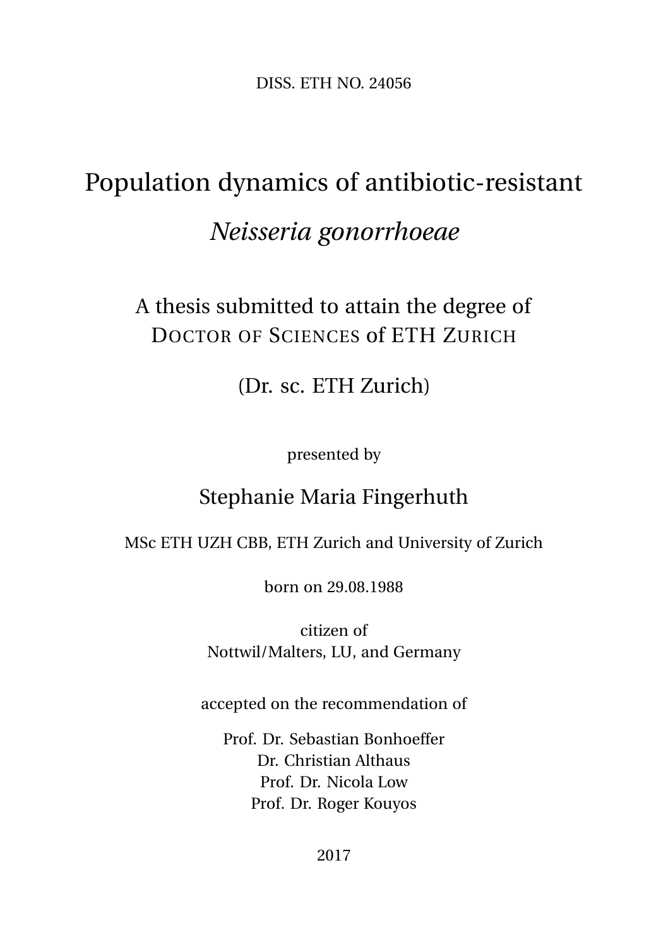DISS. ETH NO. 24056

## Population dynamics of antibiotic-resistant *Neisseria gonorrhoeae*

#### A thesis submitted to attain the degree of DOCTOR OF SCIENCES of ETH ZURICH

(Dr. sc. ETH Zurich)

presented by

#### Stephanie Maria Fingerhuth

#### MSc ETH UZH CBB, ETH Zurich and University of Zurich

born on 29.08.1988

citizen of Nottwil/Malters, LU, and Germany

accepted on the recommendation of

Prof. Dr. Sebastian Bonhoeffer Dr. Christian Althaus Prof. Dr. Nicola Low Prof. Dr. Roger Kouyos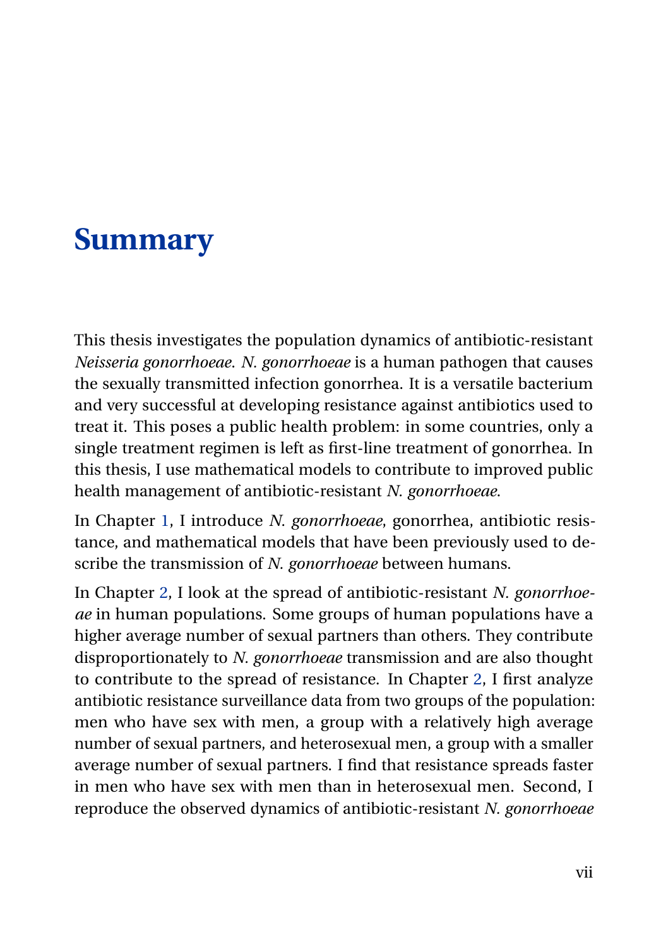### **Summary**

This thesis investigates the population dynamics of antibiotic-resistant *Neisseria gonorrhoeae*. *N. gonorrhoeae* is a human pathogen that causes the sexually transmitted infection gonorrhea. It is a versatile bacterium and very successful at developing resistance against antibiotics used to treat it. This poses a public health problem: in some countries, only a single treatment regimen is left as first-line treatment of gonorrhea. In this thesis, I use mathematical models to contribute to improved public health management of antibiotic-resistant *N. gonorrhoeae*.

In Chapter [1,](#page--1-0) I introduce *N. gonorrhoeae*, gonorrhea, antibiotic resistance, and mathematical models that have been previously used to describe the transmission of *N. gonorrhoeae* between humans.

In Chapter [2,](#page--1-0) I look at the spread of antibiotic-resistant *N. gonorrhoeae* in human populations. Some groups of human populations have a higher average number of sexual partners than others. They contribute disproportionately to *N. gonorrhoeae* transmission and are also thought to contribute to the spread of resistance. In Chapter [2,](#page--1-0) I first analyze antibiotic resistance surveillance data from two groups of the population: men who have sex with men, a group with a relatively high average number of sexual partners, and heterosexual men, a group with a smaller average number of sexual partners. I find that resistance spreads faster in men who have sex with men than in heterosexual men. Second, I reproduce the observed dynamics of antibiotic-resistant *N. gonorrhoeae*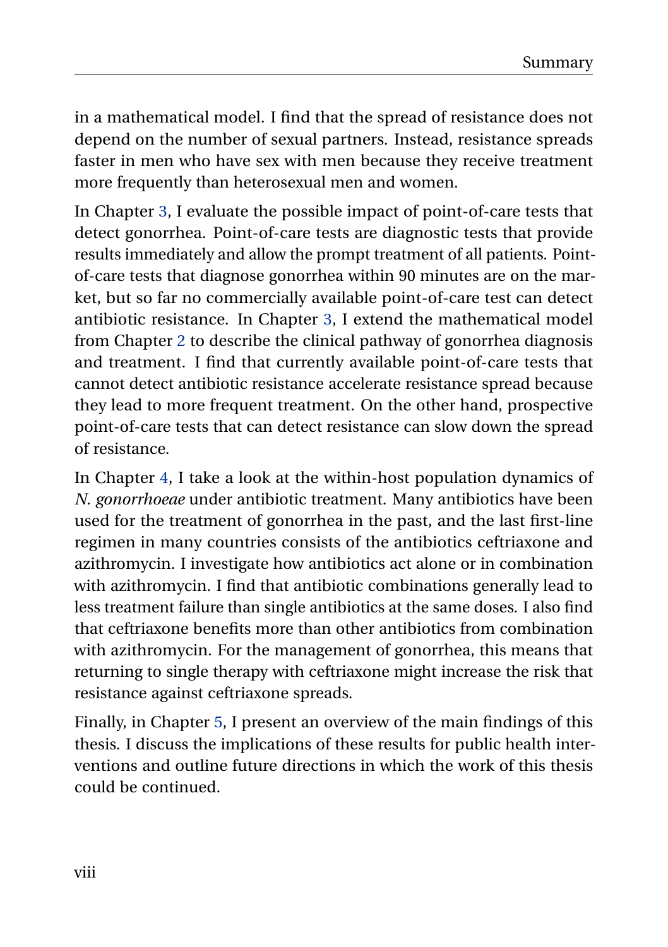in a mathematical model. I find that the spread of resistance does not depend on the number of sexual partners. Instead, resistance spreads faster in men who have sex with men because they receive treatment more frequently than heterosexual men and women.

In Chapter [3,](#page--1-0) I evaluate the possible impact of point-of-care tests that detect gonorrhea. Point-of-care tests are diagnostic tests that provide results immediately and allow the prompt treatment of all patients. Pointof-care tests that diagnose gonorrhea within 90 minutes are on the market, but so far no commercially available point-of-care test can detect antibiotic resistance. In Chapter [3,](#page--1-0) I extend the mathematical model from Chapter [2](#page--1-0) to describe the clinical pathway of gonorrhea diagnosis and treatment. I find that currently available point-of-care tests that cannot detect antibiotic resistance accelerate resistance spread because they lead to more frequent treatment. On the other hand, prospective point-of-care tests that can detect resistance can slow down the spread of resistance.

In Chapter [4,](#page--1-0) I take a look at the within-host population dynamics of *N. gonorrhoeae* under antibiotic treatment. Many antibiotics have been used for the treatment of gonorrhea in the past, and the last first-line regimen in many countries consists of the antibiotics ceftriaxone and azithromycin. I investigate how antibiotics act alone or in combination with azithromycin. I find that antibiotic combinations generally lead to less treatment failure than single antibiotics at the same doses. I also find that ceftriaxone benefits more than other antibiotics from combination with azithromycin. For the management of gonorrhea, this means that returning to single therapy with ceftriaxone might increase the risk that resistance against ceftriaxone spreads.

Finally, in Chapter [5,](#page--1-0) I present an overview of the main findings of this thesis. I discuss the implications of these results for public health interventions and outline future directions in which the work of this thesis could be continued.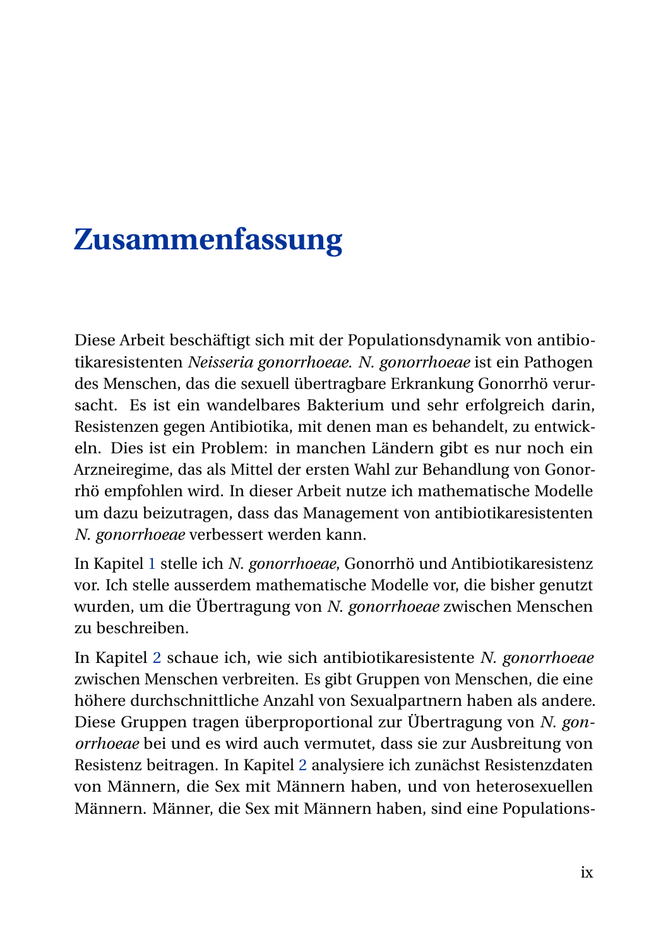## **Zusammenfassung**

Diese Arbeit beschäftigt sich mit der Populationsdynamik von antibiotikaresistenten *Neisseria gonorrhoeae*. *N. gonorrhoeae* ist ein Pathogen des Menschen, das die sexuell übertragbare Erkrankung Gonorrhö verursacht. Es ist ein wandelbares Bakterium und sehr erfolgreich darin, Resistenzen gegen Antibiotika, mit denen man es behandelt, zu entwickeln. Dies ist ein Problem: in manchen Ländern gibt es nur noch ein Arzneiregime, das als Mittel der ersten Wahl zur Behandlung von Gonorrhö empfohlen wird. In dieser Arbeit nutze ich mathematische Modelle um dazu beizutragen, dass das Management von antibiotikaresistenten *N. gonorrhoeae* verbessert werden kann.

In Kapitel [1](#page--1-0) stelle ich *N. gonorrhoeae*, Gonorrhö und Antibiotikaresistenz vor. Ich stelle ausserdem mathematische Modelle vor, die bisher genutzt wurden, um die Übertragung von *N. gonorrhoeae* zwischen Menschen zu beschreiben.

In Kapitel [2](#page--1-0) schaue ich, wie sich antibiotikaresistente *N. gonorrhoeae* zwischen Menschen verbreiten. Es gibt Gruppen von Menschen, die eine höhere durchschnittliche Anzahl von Sexualpartnern haben als andere. Diese Gruppen tragen überproportional zur Übertragung von *N. gonorrhoeae* bei und es wird auch vermutet, dass sie zur Ausbreitung von Resistenz beitragen. In Kapitel [2](#page--1-0) analysiere ich zunächst Resistenzdaten von Männern, die Sex mit Männern haben, und von heterosexuellen Männern. Männer, die Sex mit Männern haben, sind eine Populations-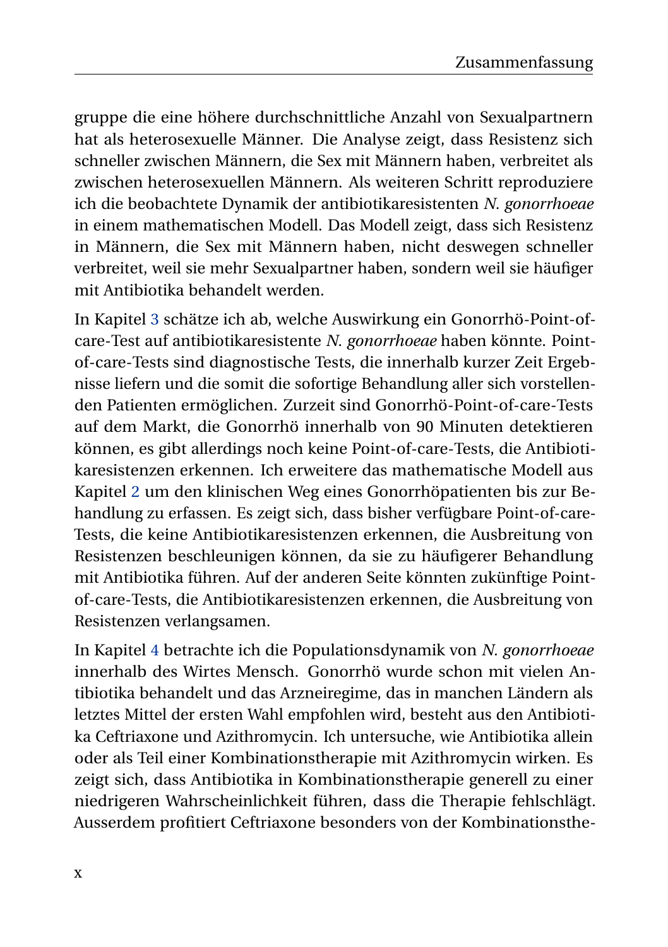gruppe die eine höhere durchschnittliche Anzahl von Sexualpartnern hat als heterosexuelle Männer. Die Analyse zeigt, dass Resistenz sich schneller zwischen Männern, die Sex mit Männern haben, verbreitet als zwischen heterosexuellen Männern. Als weiteren Schritt reproduziere ich die beobachtete Dynamik der antibiotikaresistenten *N. gonorrhoeae* in einem mathematischen Modell. Das Modell zeigt, dass sich Resistenz in Männern, die Sex mit Männern haben, nicht deswegen schneller verbreitet, weil sie mehr Sexualpartner haben, sondern weil sie häufiger mit Antibiotika behandelt werden.

In Kapitel [3](#page--1-0) schätze ich ab, welche Auswirkung ein Gonorrhö-Point-ofcare-Test auf antibiotikaresistente *N. gonorrhoeae* haben könnte. Pointof-care-Tests sind diagnostische Tests, die innerhalb kurzer Zeit Ergebnisse liefern und die somit die sofortige Behandlung aller sich vorstellenden Patienten ermöglichen. Zurzeit sind Gonorrhö-Point-of-care-Tests auf dem Markt, die Gonorrhö innerhalb von 90 Minuten detektieren können, es gibt allerdings noch keine Point-of-care-Tests, die Antibiotikaresistenzen erkennen. Ich erweitere das mathematische Modell aus Kapitel [2](#page--1-0) um den klinischen Weg eines Gonorrhöpatienten bis zur Behandlung zu erfassen. Es zeigt sich, dass bisher verfügbare Point-of-care-Tests, die keine Antibiotikaresistenzen erkennen, die Ausbreitung von Resistenzen beschleunigen können, da sie zu häufigerer Behandlung mit Antibiotika führen. Auf der anderen Seite könnten zukünftige Pointof-care-Tests, die Antibiotikaresistenzen erkennen, die Ausbreitung von Resistenzen verlangsamen.

In Kapitel [4](#page--1-0) betrachte ich die Populationsdynamik von *N. gonorrhoeae* innerhalb des Wirtes Mensch. Gonorrhö wurde schon mit vielen Antibiotika behandelt und das Arzneiregime, das in manchen Ländern als letztes Mittel der ersten Wahl empfohlen wird, besteht aus den Antibiotika Ceftriaxone und Azithromycin. Ich untersuche, wie Antibiotika allein oder als Teil einer Kombinationstherapie mit Azithromycin wirken. Es zeigt sich, dass Antibiotika in Kombinationstherapie generell zu einer niedrigeren Wahrscheinlichkeit führen, dass die Therapie fehlschlägt. Ausserdem profitiert Ceftriaxone besonders von der Kombinationsthe